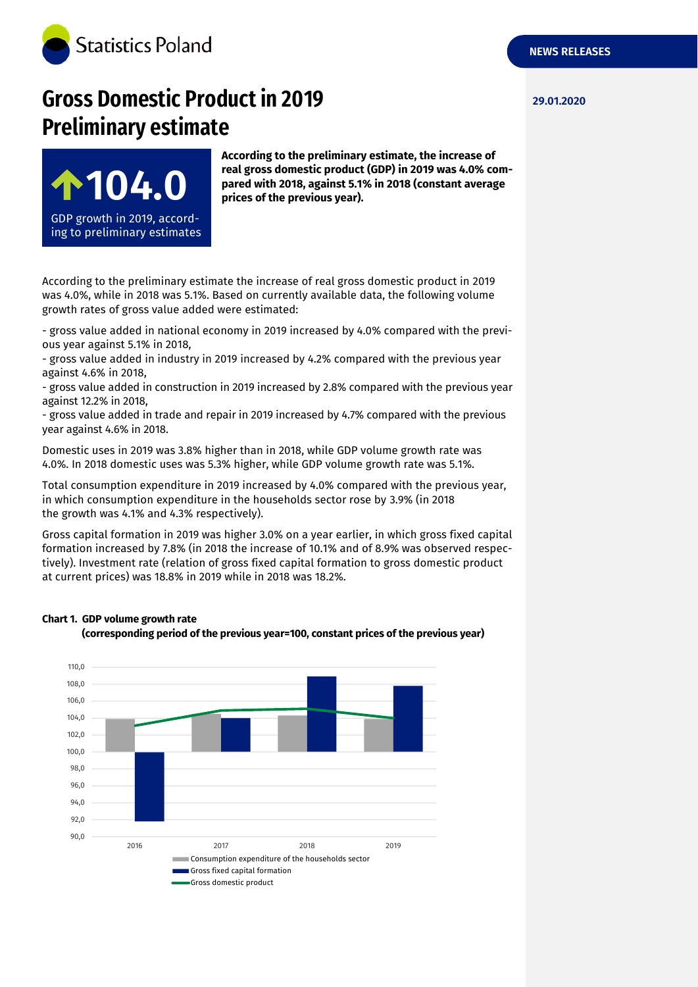

# **Gross Domestic Product in 2019 29.01.2020 Preliminary estimate**



**According to the preliminary estimate, the increase of real gross domestic product (GDP) in 2019 was 4.0% compared with 2018, against 5.1% in 2018 (constant average prices of the previous year).**

According to the preliminary estimate the increase of real gross domestic product in 2019 was 4.0%, while in 2018 was 5.1%. Based on currently available data, the following volume growth rates of gross value added were estimated:

- gross value added in national economy in 2019 increased by 4.0% compared with the previous year against 5.1% in 2018,

- gross value added in industry in 2019 increased by 4.2% compared with the previous year against 4.6% in 2018,

- gross value added in construction in 2019 increased by 2.8% compared with the previous year against 12.2% in 2018,

- gross value added in trade and repair in 2019 increased by 4.7% compared with the previous year against 4.6% in 2018.

Domestic uses in 2019 was 3.8% higher than in 2018, while GDP volume growth rate was 4.0%. In 2018 domestic uses was 5.3% higher, while GDP volume growth rate was 5.1%.

Total consumption expenditure in 2019 increased by 4.0% compared with the previous year, in which consumption expenditure in the households sector rose by 3.9% (in 2018 the growth was 4.1% and 4.3% respectively).

Gross capital formation in 2019 was higher 3.0% on a year earlier, in which gross fixed capital formation increased by 7.8% (in 2018 the increase of 10.1% and of 8.9% was observed respectively). Investment rate (relation of gross fixed capital formation to gross domestic product at current prices) was 18.8% in 2019 while in 2018 was 18.2%.

### **Chart 1. GDP volume growth rate**



**(corresponding period of the previous year=100, constant prices of the previous year)**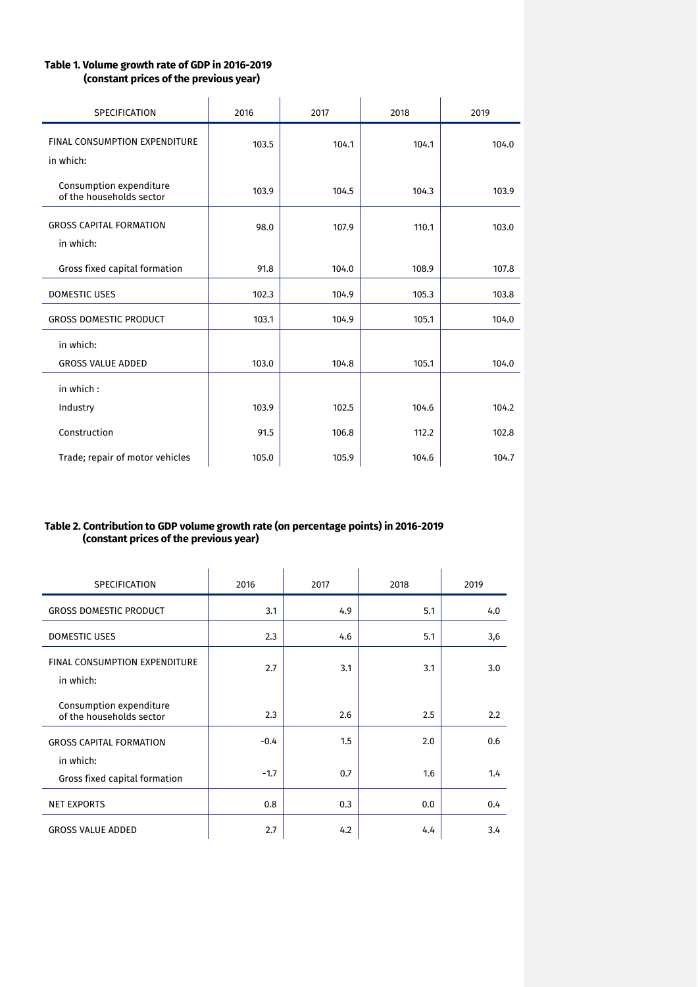## **Table 1. Volume growth rate of GDP in 2016-2019 (constant prices of the previous year)**

| <b>SPECIFICATION</b>                                | 2016  | 2017  | 2018  | 2019  |
|-----------------------------------------------------|-------|-------|-------|-------|
| <b>FINAL CONSUMPTION EXPENDITURE</b><br>in which:   | 103.5 | 104.1 | 104.1 | 104.0 |
| Consumption expenditure<br>of the households sector | 103.9 | 104.5 | 104.3 | 103.9 |
| <b>GROSS CAPITAL FORMATION</b><br>in which:         | 98.0  | 107.9 | 110.1 | 103.0 |
| Gross fixed capital formation                       | 91.8  | 104.0 | 108.9 | 107.8 |
| <b>DOMESTIC USES</b>                                | 102.3 | 104.9 | 105.3 | 103.8 |
| <b>GROSS DOMESTIC PRODUCT</b>                       | 103.1 | 104.9 | 105.1 | 104.0 |
| in which:<br><b>GROSS VALUE ADDED</b>               | 103.0 | 104.8 | 105.1 | 104.0 |
| in which:                                           |       |       |       |       |
| Industry                                            | 103.9 | 102.5 | 104.6 | 104.2 |
| Construction                                        | 91.5  | 106.8 | 112.2 | 102.8 |
| Trade; repair of motor vehicles                     | 105.0 | 105.9 | 104.6 | 104.7 |

#### **Table 2. Contribution to GDP volume growth rate (on percentage points) in 2016-2019 (constant prices of the previous year)**

| <b>SPECIFICATION</b>                                | 2016   | 2017 | 2018 | 2019 |
|-----------------------------------------------------|--------|------|------|------|
| <b>GROSS DOMESTIC PRODUCT</b>                       | 3.1    | 4.9  | 5.1  | 4.0  |
| <b>DOMESTIC USES</b>                                | 2.3    | 4.6  | 5.1  | 3,6  |
| <b>FINAL CONSUMPTION EXPENDITURE</b><br>in which:   | 2.7    | 3.1  | 3.1  | 3.0  |
| Consumption expenditure<br>of the households sector | 2.3    | 2.6  | 2.5  | 2.2  |
| <b>GROSS CAPITAL FORMATION</b>                      | $-0.4$ | 1.5  | 2.0  | 0.6  |
| in which:<br>Gross fixed capital formation          | $-1.7$ | 0.7  | 1.6  | 1.4  |
| <b>NET EXPORTS</b>                                  | 0.8    | 0.3  | 0.0  | 0.4  |
| <b>GROSS VALUE ADDED</b>                            | 2.7    | 4.2  | 4.4  | 3.4  |